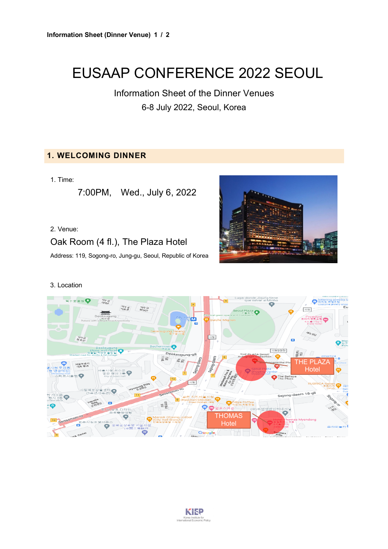# EUSAAP CONFERENCE 2022 SEOUL

Information Sheet of the Dinner Venues 6-8 July 2022, Seoul, Korea

## **1. WELCOMING DINNER**

1. Time:

7:00PM, Wed., July 6, 2022

#### 2. Venue:

Oak Room (4 fl.), The Plaza Hotel

Address: 119, Sogong-ro, Jung-gu, Seoul, Republic of Korea



#### 3. Location